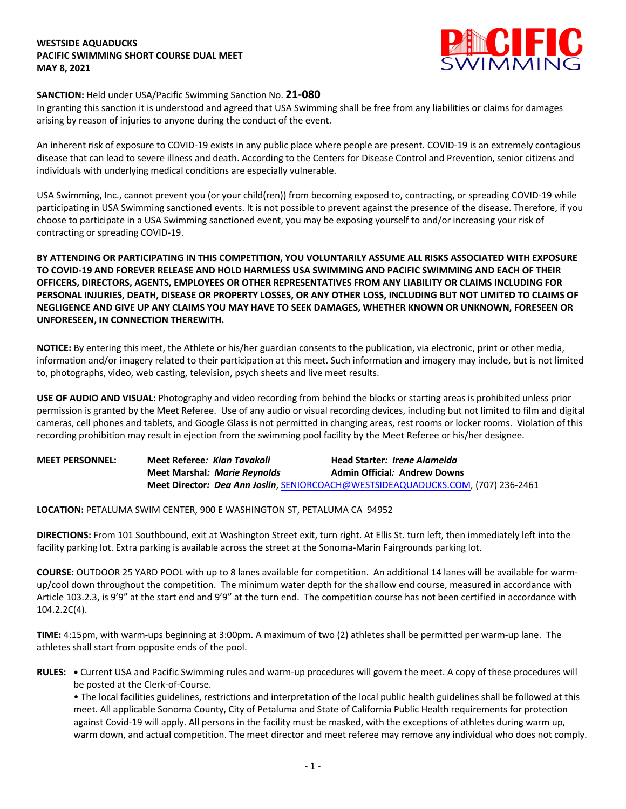## **WESTSIDE AQUADUCKS PACIFIC SWIMMING SHORT COURSE DUAL MEET MAY 8, 2021**



## **SANCTION:** Held under USA/Pacific Swimming Sanction No. **21-080**

In granting this sanction it is understood and agreed that USA Swimming shall be free from any liabilities or claims for damages arising by reason of injuries to anyone during the conduct of the event.

An inherent risk of exposure to COVID-19 exists in any public place where people are present. COVID-19 is an extremely contagious disease that can lead to severe illness and death. According to the Centers for Disease Control and Prevention, senior citizens and individuals with underlying medical conditions are especially vulnerable.

USA Swimming, Inc., cannot prevent you (or your child(ren)) from becoming exposed to, contracting, or spreading COVID-19 while participating in USA Swimming sanctioned events. It is not possible to prevent against the presence of the disease. Therefore, if you choose to participate in a USA Swimming sanctioned event, you may be exposing yourself to and/or increasing your risk of contracting or spreading COVID-19.

**BY ATTENDING OR PARTICIPATING IN THIS COMPETITION, YOU VOLUNTARILY ASSUME ALL RISKS ASSOCIATED WITH EXPOSURE TO COVID-19 AND FOREVER RELEASE AND HOLD HARMLESS USA SWIMMING AND PACIFIC SWIMMING AND EACH OF THEIR OFFICERS, DIRECTORS, AGENTS, EMPLOYEES OR OTHER REPRESENTATIVES FROM ANY LIABILITY OR CLAIMS INCLUDING FOR PERSONAL INJURIES, DEATH, DISEASE OR PROPERTY LOSSES, OR ANY OTHER LOSS, INCLUDING BUT NOT LIMITED TO CLAIMS OF NEGLIGENCE AND GIVE UP ANY CLAIMS YOU MAY HAVE TO SEEK DAMAGES, WHETHER KNOWN OR UNKNOWN, FORESEEN OR UNFORESEEN, IN CONNECTION THEREWITH.**

**NOTICE:** By entering this meet, the Athlete or his/her guardian consents to the publication, via electronic, print or other media, information and/or imagery related to their participation at this meet. Such information and imagery may include, but is not limited to, photographs, video, web casting, television, psych sheets and live meet results.

**USE OF AUDIO AND VISUAL:** Photography and video recording from behind the blocks or starting areas is prohibited unless prior permission is granted by the Meet Referee. Use of any audio or visual recording devices, including but not limited to film and digital cameras, cell phones and tablets, and Google Glass is not permitted in changing areas, rest rooms or locker rooms. Violation of this recording prohibition may result in ejection from the swimming pool facility by the Meet Referee or his/her designee.

**MEET PERSONNEL: Meet Referee***: Kian Tavakoli* **Head Starter***: Irene Alameida* **Meet Marshal***: Marie Reynolds* **Admin Official***:* **Andrew Downs Meet Director***: Dea Ann Joslin*, SENIORCOACH@WESTSIDEAQUADUCKS.COM, (707) 236-2461

**LOCATION:** PETALUMA SWIM CENTER, 900 E WASHINGTON ST, PETALUMA CA 94952

**DIRECTIONS:** From 101 Southbound, exit at Washington Street exit, turn right. At Ellis St. turn left, then immediately left into the facility parking lot. Extra parking is available across the street at the Sonoma-Marin Fairgrounds parking lot.

**COURSE:** OUTDOOR 25 YARD POOL with up to 8 lanes available for competition. An additional 14 lanes will be available for warmup/cool down throughout the competition. The minimum water depth for the shallow end course, measured in accordance with Article 103.2.3, is 9'9" at the start end and 9'9" at the turn end. The competition course has not been certified in accordance with 104.2.2C(4).

**TIME:** 4:15pm, with warm-ups beginning at 3:00pm. A maximum of two (2) athletes shall be permitted per warm-up lane. The athletes shall start from opposite ends of the pool.

**RULES: •** Current USA and Pacific Swimming rules and warm-up procedures will govern the meet. A copy of these procedures will be posted at the Clerk-of-Course.

• The local facilities guidelines, restrictions and interpretation of the local public health guidelines shall be followed at this meet. All applicable Sonoma County, City of Petaluma and State of California Public Health requirements for protection against Covid-19 will apply. All persons in the facility must be masked, with the exceptions of athletes during warm up, warm down, and actual competition. The meet director and meet referee may remove any individual who does not comply.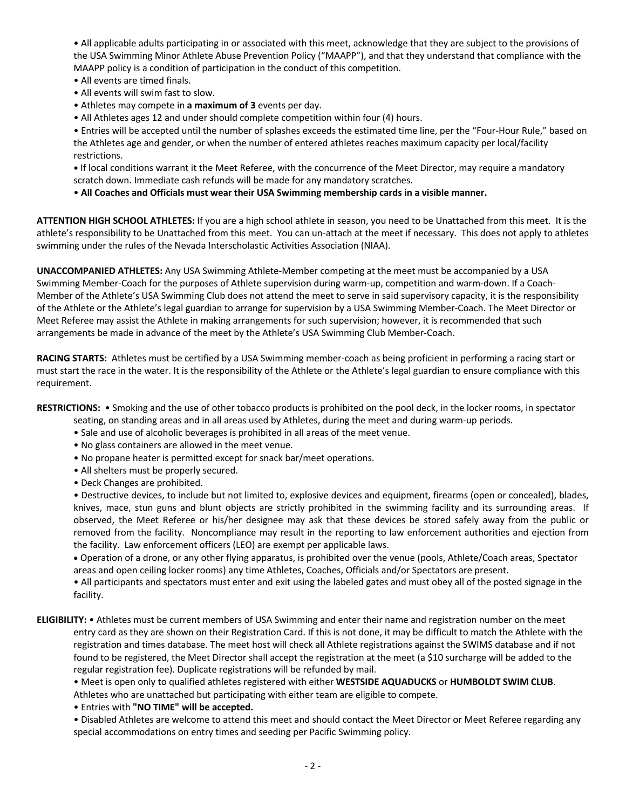• All applicable adults participating in or associated with this meet, acknowledge that they are subject to the provisions of the USA Swimming Minor Athlete Abuse Prevention Policy ("MAAPP"), and that they understand that compliance with the MAAPP policy is a condition of participation in the conduct of this competition.

- All events are timed finals.
- All events will swim fast to slow.
- Athletes may compete in **a maximum of 3** events per day.
- All Athletes ages 12 and under should complete competition within four (4) hours.

• Entries will be accepted until the number of splashes exceeds the estimated time line, per the "Four-Hour Rule," based on the Athletes age and gender, or when the number of entered athletes reaches maximum capacity per local/facility restrictions.

**•** If local conditions warrant it the Meet Referee, with the concurrence of the Meet Director, may require a mandatory scratch down. Immediate cash refunds will be made for any mandatory scratches.

• **All Coaches and Officials must wear their USA Swimming membership cards in a visible manner.** 

**ATTENTION HIGH SCHOOL ATHLETES:** If you are a high school athlete in season, you need to be Unattached from this meet. It is the athlete's responsibility to be Unattached from this meet. You can un-attach at the meet if necessary. This does not apply to athletes swimming under the rules of the Nevada Interscholastic Activities Association (NIAA).

**UNACCOMPANIED ATHLETES:** Any USA Swimming Athlete-Member competing at the meet must be accompanied by a USA Swimming Member-Coach for the purposes of Athlete supervision during warm-up, competition and warm-down. If a Coach-Member of the Athlete's USA Swimming Club does not attend the meet to serve in said supervisory capacity, it is the responsibility of the Athlete or the Athlete's legal guardian to arrange for supervision by a USA Swimming Member-Coach. The Meet Director or Meet Referee may assist the Athlete in making arrangements for such supervision; however, it is recommended that such arrangements be made in advance of the meet by the Athlete's USA Swimming Club Member-Coach.

**RACING STARTS:** Athletes must be certified by a USA Swimming member-coach as being proficient in performing a racing start or must start the race in the water. It is the responsibility of the Athlete or the Athlete's legal guardian to ensure compliance with this requirement.

**RESTRICTIONS:** • Smoking and the use of other tobacco products is prohibited on the pool deck, in the locker rooms, in spectator

- seating, on standing areas and in all areas used by Athletes, during the meet and during warm-up periods.
- Sale and use of alcoholic beverages is prohibited in all areas of the meet venue.
- No glass containers are allowed in the meet venue.
- No propane heater is permitted except for snack bar/meet operations.
- All shelters must be properly secured.
- Deck Changes are prohibited.

• Destructive devices, to include but not limited to, explosive devices and equipment, firearms (open or concealed), blades, knives, mace, stun guns and blunt objects are strictly prohibited in the swimming facility and its surrounding areas. If observed, the Meet Referee or his/her designee may ask that these devices be stored safely away from the public or removed from the facility. Noncompliance may result in the reporting to law enforcement authorities and ejection from the facility. Law enforcement officers (LEO) are exempt per applicable laws.

• Operation of a drone, or any other flying apparatus, is prohibited over the venue (pools, Athlete/Coach areas, Spectator areas and open ceiling locker rooms) any time Athletes, Coaches, Officials and/or Spectators are present.

• All participants and spectators must enter and exit using the labeled gates and must obey all of the posted signage in the facility.

**ELIGIBILITY:** • Athletes must be current members of USA Swimming and enter their name and registration number on the meet entry card as they are shown on their Registration Card. If this is not done, it may be difficult to match the Athlete with the registration and times database. The meet host will check all Athlete registrations against the SWIMS database and if not found to be registered, the Meet Director shall accept the registration at the meet (a \$10 surcharge will be added to the regular registration fee). Duplicate registrations will be refunded by mail.

• Meet is open only to qualified athletes registered with either **WESTSIDE AQUADUCKS** or **HUMBOLDT SWIM CLUB**. Athletes who are unattached but participating with either team are eligible to compete.

• Entries with **"NO TIME" will be accepted.**

• Disabled Athletes are welcome to attend this meet and should contact the Meet Director or Meet Referee regarding any special accommodations on entry times and seeding per Pacific Swimming policy.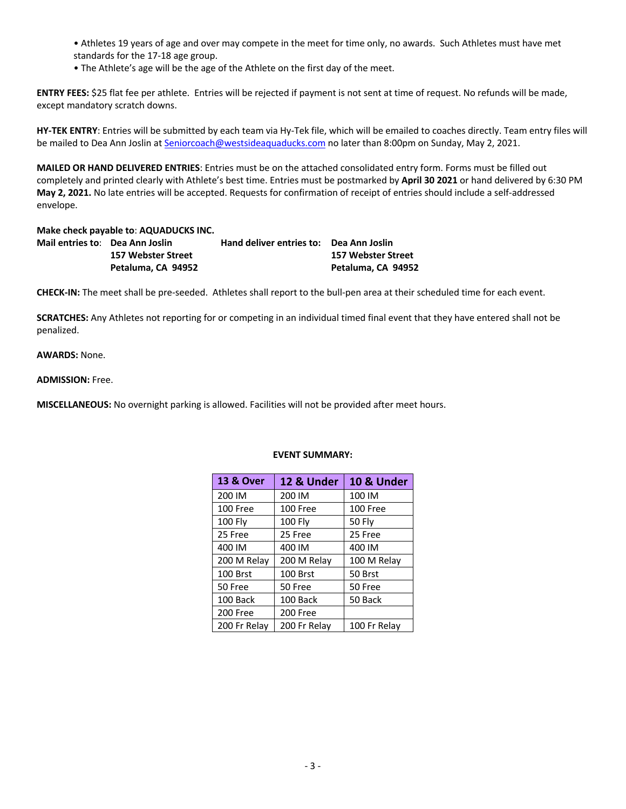• Athletes 19 years of age and over may compete in the meet for time only, no awards. Such Athletes must have met standards for the 17-18 age group.

• The Athlete's age will be the age of the Athlete on the first day of the meet.

**ENTRY FEES:** \$25 flat fee per athlete. Entries will be rejected if payment is not sent at time of request. No refunds will be made, except mandatory scratch downs.

**HY-TEK ENTRY**: Entries will be submitted by each team via Hy-Tek file, which will be emailed to coaches directly. Team entry files will be mailed to Dea Ann Joslin at Seniorcoach@westsideaquaducks.com no later than 8:00pm on Sunday, May 2, 2021.

**MAILED OR HAND DELIVERED ENTRIES**: Entries must be on the attached consolidated entry form. Forms must be filled out completely and printed clearly with Athlete's best time. Entries must be postmarked by **April 30 2021** or hand delivered by 6:30 PM **May 2, 2021.** No late entries will be accepted. Requests for confirmation of receipt of entries should include a self-addressed envelope.

**Make check payable to**: **AQUADUCKS INC.**

| Mail entries to:    Dea Ann Joslin | Hand deliver entries to: Dea Ann Joslin |                    |
|------------------------------------|-----------------------------------------|--------------------|
| 157 Webster Street                 |                                         | 157 Webster Street |
| Petaluma, CA 94952                 |                                         | Petaluma. CA 94952 |

**CHECK-IN:** The meet shall be pre-seeded. Athletes shall report to the bull-pen area at their scheduled time for each event.

**SCRATCHES:** Any Athletes not reporting for or competing in an individual timed final event that they have entered shall not be penalized.

**AWARDS:** None.

**ADMISSION:** Free.

**MISCELLANEOUS:** No overnight parking is allowed. Facilities will not be provided after meet hours.

| <b>13 &amp; Over</b> | 12 & Under     | 10 & Under   |  |  |  |  |
|----------------------|----------------|--------------|--|--|--|--|
| 200 IM               | 200 IM         | 100 IM       |  |  |  |  |
| 100 Free             | 100 Free       | 100 Free     |  |  |  |  |
| <b>100 Fly</b>       | <b>100 Fly</b> | 50 Fly       |  |  |  |  |
| 25 Free              | 25 Free        | 25 Free      |  |  |  |  |
| 400 IM               | 400 IM         | 400 IM       |  |  |  |  |
| 200 M Relay          | 200 M Relay    | 100 M Relay  |  |  |  |  |
| 100 Brst             | 100 Brst       | 50 Brst      |  |  |  |  |
| 50 Free              | 50 Free        | 50 Free      |  |  |  |  |
| 100 Back             | 100 Back       | 50 Back      |  |  |  |  |
| 200 Free             | 200 Free       |              |  |  |  |  |
| 200 Fr Relay         | 200 Fr Relay   | 100 Fr Relay |  |  |  |  |

## **EVENT SUMMARY:**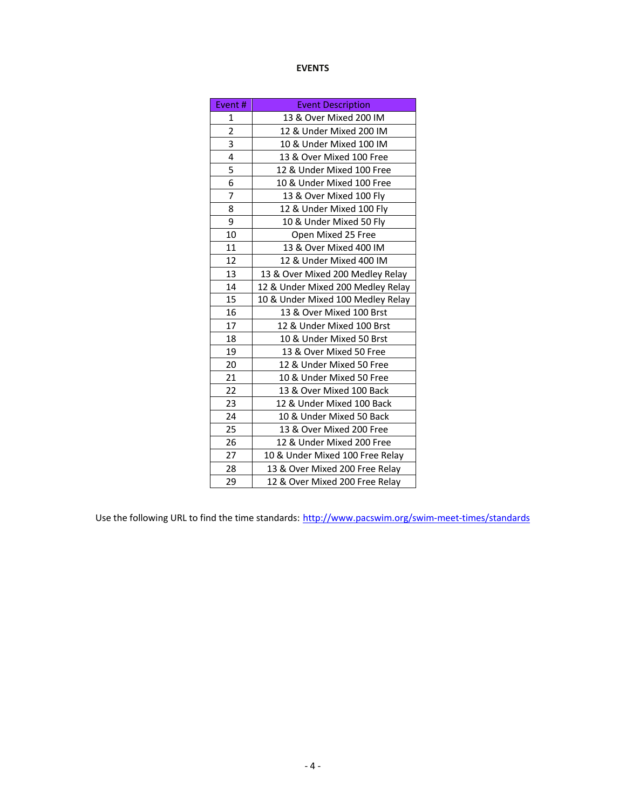## **EVENTS**

| Event# | <b>Event Description</b>          |  |  |  |  |
|--------|-----------------------------------|--|--|--|--|
| 1      | 13 & Over Mixed 200 IM            |  |  |  |  |
| 2      | 12 & Under Mixed 200 IM           |  |  |  |  |
| 3      | 10 & Under Mixed 100 IM           |  |  |  |  |
| 4      | 13 & Over Mixed 100 Free          |  |  |  |  |
| 5      | 12 & Under Mixed 100 Free         |  |  |  |  |
| 6      | 10 & Under Mixed 100 Free         |  |  |  |  |
| 7      | 13 & Over Mixed 100 Fly           |  |  |  |  |
| 8      | 12 & Under Mixed 100 Fly          |  |  |  |  |
| 9      | 10 & Under Mixed 50 Fly           |  |  |  |  |
| 10     | Open Mixed 25 Free                |  |  |  |  |
| 11     | 13 & Over Mixed 400 IM            |  |  |  |  |
| 12     | 12 & Under Mixed 400 IM           |  |  |  |  |
| 13     | 13 & Over Mixed 200 Medley Relay  |  |  |  |  |
| 14     | 12 & Under Mixed 200 Medley Relay |  |  |  |  |
| 15     | 10 & Under Mixed 100 Medley Relay |  |  |  |  |
| 16     | 13 & Over Mixed 100 Brst          |  |  |  |  |
| 17     | 12 & Under Mixed 100 Brst         |  |  |  |  |
| 18     | 10 & Under Mixed 50 Brst          |  |  |  |  |
| 19     | 13 & Over Mixed 50 Free           |  |  |  |  |
| 20     | 12 & Under Mixed 50 Free          |  |  |  |  |
| 21     | 10 & Under Mixed 50 Free          |  |  |  |  |
| 22     | 13 & Over Mixed 100 Back          |  |  |  |  |
| 23     | 12 & Under Mixed 100 Back         |  |  |  |  |
| 24     | 10 & Under Mixed 50 Back          |  |  |  |  |
| 25     | 13 & Over Mixed 200 Free          |  |  |  |  |
| 26     | 12 & Under Mixed 200 Free         |  |  |  |  |
| 27     | 10 & Under Mixed 100 Free Relay   |  |  |  |  |
| 28     | 13 & Over Mixed 200 Free Relay    |  |  |  |  |
| 29     | 12 & Over Mixed 200 Free Relay    |  |  |  |  |

Use the following URL to find the time standards: http://www.pacswim.org/swim-meet-times/standards